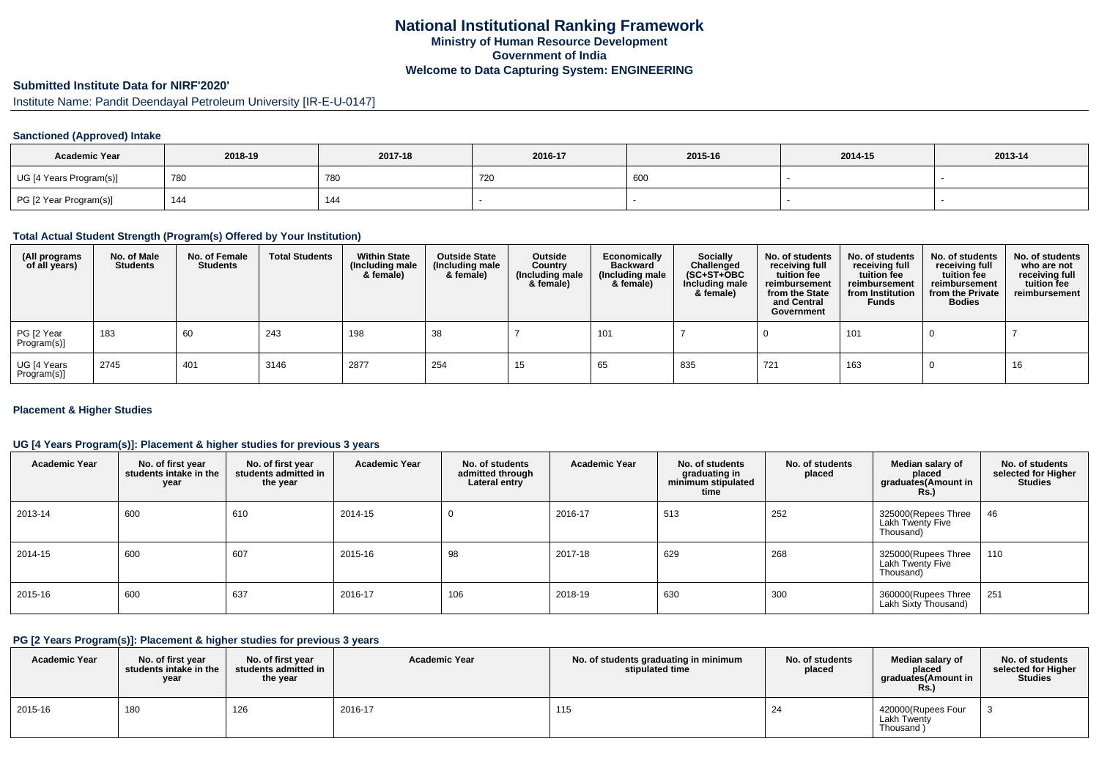# **Submitted Institute Data for NIRF'2020'**

Institute Name: Pandit Deendayal Petroleum University [IR-E-U-0147]

#### **Sanctioned (Approved) Intake**

| <b>Academic Year</b>    | 2018-19 | 2017-18 | 2016-17 | 2015-16 | 2014-15 | 2013-14 |
|-------------------------|---------|---------|---------|---------|---------|---------|
| UG [4 Years Program(s)] | 780     | 780     | 720     | 600     |         |         |
| PG [2 Year Program(s)]  | 144     | 144     |         |         |         |         |

#### **Total Actual Student Strength (Program(s) Offered by Your Institution)**

| (All programs<br>of all years) | No. of Male<br><b>Students</b> | No. of Female<br><b>Students</b> | <b>Total Students</b> | <b>Within State</b><br>(Including male<br>& female) | <b>Outside State</b><br>(Including male<br>& female) | Outside<br>Country<br>(Including male<br>& female) | Economically<br><b>Backward</b><br>(Including male<br>& female) | <b>Socially</b><br>Challenged<br>$(SC+ST+OBC)$<br>Including male<br>& female) | No. of students<br>receiving full<br>tuition fee<br>reimbursement<br>from the State<br>and Central<br>Government | No. of students<br>receiving full<br>tuition fee<br>reimbursement<br>from Institution<br><b>Funds</b> | No. of students<br>receiving full<br>tuition fee<br>reimbursement<br>from the Private<br><b>Bodies</b> | No. of students<br>who are not<br>receiving full<br>tuition fee<br>reimbursement |
|--------------------------------|--------------------------------|----------------------------------|-----------------------|-----------------------------------------------------|------------------------------------------------------|----------------------------------------------------|-----------------------------------------------------------------|-------------------------------------------------------------------------------|------------------------------------------------------------------------------------------------------------------|-------------------------------------------------------------------------------------------------------|--------------------------------------------------------------------------------------------------------|----------------------------------------------------------------------------------|
| PG [2 Year<br>Program(s)]      | 183                            | 60                               | 243                   | 198                                                 | 38                                                   |                                                    | 101                                                             |                                                                               |                                                                                                                  | 101                                                                                                   |                                                                                                        |                                                                                  |
| UG [4 Years<br>Program(s)]     | 2745                           | 401                              | 3146                  | 2877                                                | 254                                                  | 15                                                 | 65                                                              | 835                                                                           | 721                                                                                                              | 163                                                                                                   |                                                                                                        | 16                                                                               |

#### **Placement & Higher Studies**

#### **UG [4 Years Program(s)]: Placement & higher studies for previous 3 years**

| <b>Academic Year</b> | No. of first year<br>students intake in the<br>year | No. of first year<br>students admitted in<br>the year | <b>Academic Year</b> | No. of students<br>admitted through<br>Lateral entry | <b>Academic Year</b> | No. of students<br>graduating in<br>minimum stipulated<br>time | No. of students<br>placed | Median salary of<br>placed<br>graduates(Amount in<br><b>Rs.</b> ) | No. of students<br>selected for Higher<br><b>Studies</b> |
|----------------------|-----------------------------------------------------|-------------------------------------------------------|----------------------|------------------------------------------------------|----------------------|----------------------------------------------------------------|---------------------------|-------------------------------------------------------------------|----------------------------------------------------------|
| 2013-14              | 600                                                 | 610                                                   | 2014-15              | U                                                    | 2016-17              | 513                                                            | 252                       | 325000(Repees Three<br>Lakh Twenty Five<br>Thousand)              | 46                                                       |
| 2014-15              | 600                                                 | 607                                                   | 2015-16              | 98                                                   | 2017-18              | 629                                                            | 268                       | 325000(Rupees Three<br>Lakh Twenty Five<br>Thousand)              | 110                                                      |
| 2015-16              | 600                                                 | 637                                                   | 2016-17              | 106                                                  | 2018-19              | 630                                                            | 300                       | 360000(Rupees Three<br>Lakh Sixty Thousand)                       | 251                                                      |

#### **PG [2 Years Program(s)]: Placement & higher studies for previous 3 years**

| <b>Academic Year</b> | No. of first year<br>students intake in the<br>year | No. of first year<br>students admitted in<br>the year | <b>Academic Year</b> | No. of students graduating in minimum<br>stipulated time | No. of students<br>placed | Median salary of<br>placed<br>graduates(Amount in<br><b>Rs.</b> ) | No. of students<br>selected for Higher<br><b>Studies</b> |
|----------------------|-----------------------------------------------------|-------------------------------------------------------|----------------------|----------------------------------------------------------|---------------------------|-------------------------------------------------------------------|----------------------------------------------------------|
| 2015-16              | 180                                                 | 126                                                   | 2016-17              | 115                                                      | 24                        | 420000(Rupees Four<br><b>Lakh Twenty</b><br>Thousand              |                                                          |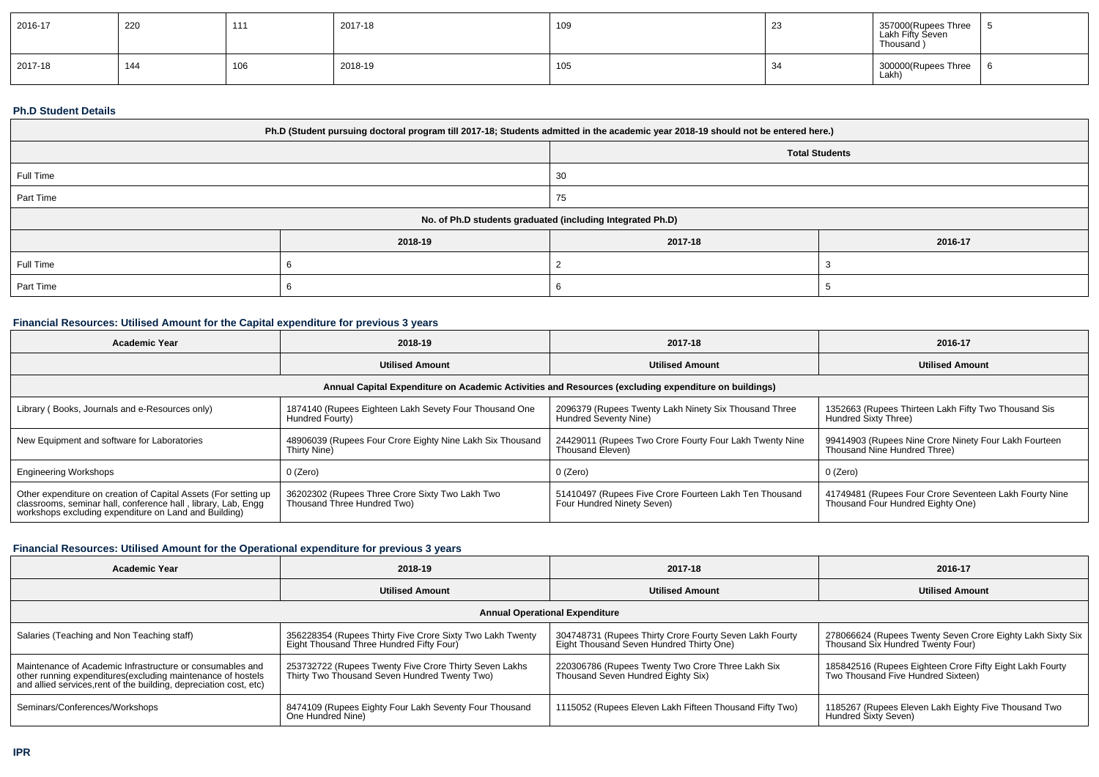| 2016-17 | 220 | 444 | 2017-18 | 109 | <u>_</u> | 357000(Rupees Three<br>Lakh Fifty Seven<br>Thousand ) |  |
|---------|-----|-----|---------|-----|----------|-------------------------------------------------------|--|
| 2017-18 | 144 | 106 | 2018-19 | 105 |          | 300000(Rupees Three<br>Lakh)                          |  |

### **Ph.D Student Details**

| Ph.D (Student pursuing doctoral program till 2017-18; Students admitted in the academic year 2018-19 should not be entered here.) |         |                       |         |  |  |
|-----------------------------------------------------------------------------------------------------------------------------------|---------|-----------------------|---------|--|--|
|                                                                                                                                   |         | <b>Total Students</b> |         |  |  |
| Full Time                                                                                                                         |         | 30                    |         |  |  |
| Part Time                                                                                                                         |         | 75                    |         |  |  |
| No. of Ph.D students graduated (including Integrated Ph.D)                                                                        |         |                       |         |  |  |
|                                                                                                                                   | 2018-19 | 2017-18               | 2016-17 |  |  |
| Full Time                                                                                                                         |         |                       |         |  |  |
| Part Time                                                                                                                         |         |                       |         |  |  |

# **Financial Resources: Utilised Amount for the Capital expenditure for previous 3 years**

| <b>Academic Year</b>                                                                                                                                                                      | 2018-19                                                                        | 2017-18                                                                              | 2016-17                                                                                     |  |  |  |  |
|-------------------------------------------------------------------------------------------------------------------------------------------------------------------------------------------|--------------------------------------------------------------------------------|--------------------------------------------------------------------------------------|---------------------------------------------------------------------------------------------|--|--|--|--|
|                                                                                                                                                                                           | <b>Utilised Amount</b>                                                         | <b>Utilised Amount</b>                                                               | <b>Utilised Amount</b>                                                                      |  |  |  |  |
| Annual Capital Expenditure on Academic Activities and Resources (excluding expenditure on buildings)                                                                                      |                                                                                |                                                                                      |                                                                                             |  |  |  |  |
| Library (Books, Journals and e-Resources only)                                                                                                                                            | 1874140 (Rupees Eighteen Lakh Sevety Four Thousand One<br>Hundred Fourty)      | 2096379 (Rupees Twenty Lakh Ninety Six Thousand Three<br>Hundred Seventy Nine)       | 1352663 (Rupees Thirteen Lakh Fifty Two Thousand Sis<br>Hundred Sixty Three)                |  |  |  |  |
| New Equipment and software for Laboratories                                                                                                                                               | 48906039 (Rupees Four Crore Eighty Nine Lakh Six Thousand<br>Thirty Nine)      | 24429011 (Rupees Two Crore Fourty Four Lakh Twenty Nine<br>Thousand Eleven)          | 99414903 (Rupees Nine Crore Ninety Four Lakh Fourteen<br>Thousand Nine Hundred Three)       |  |  |  |  |
| <b>Engineering Workshops</b>                                                                                                                                                              | 0 (Zero)                                                                       | 0 (Zero)                                                                             | 0 (Zero)                                                                                    |  |  |  |  |
| Other expenditure on creation of Capital Assets (For setting up<br>classrooms, seminar hall, conference hall, library, Lab, Engg<br>workshops excluding expenditure on Land and Building) | 36202302 (Rupees Three Crore Sixty Two Lakh Two<br>Thousand Three Hundred Two) | 51410497 (Rupees Five Crore Fourteen Lakh Ten Thousand<br>Four Hundred Ninety Seven) | 41749481 (Rupees Four Crore Seventeen Lakh Fourty Nine<br>Thousand Four Hundred Eighty One) |  |  |  |  |

## **Financial Resources: Utilised Amount for the Operational expenditure for previous 3 years**

| Academic Year                                                                                                                                                                                   | 2018-19                                                                                                 | 2017-18                                                                                             | 2016-17                                                                                         |  |  |  |  |
|-------------------------------------------------------------------------------------------------------------------------------------------------------------------------------------------------|---------------------------------------------------------------------------------------------------------|-----------------------------------------------------------------------------------------------------|-------------------------------------------------------------------------------------------------|--|--|--|--|
|                                                                                                                                                                                                 | <b>Utilised Amount</b>                                                                                  | <b>Utilised Amount</b>                                                                              | <b>Utilised Amount</b>                                                                          |  |  |  |  |
| <b>Annual Operational Expenditure</b>                                                                                                                                                           |                                                                                                         |                                                                                                     |                                                                                                 |  |  |  |  |
| Salaries (Teaching and Non Teaching staff)                                                                                                                                                      | 356228354 (Rupees Thirty Five Crore Sixty Two Lakh Twenty<br>Eight Thousand Three Hundred Fifty Four)   | 304748731 (Rupees Thirty Crore Fourty Seven Lakh Fourty<br>Eight Thousand Seven Hundred Thirty One) | 278066624 (Rupees Twenty Seven Crore Eighty Lakh Sixty Six<br>Thousand Six Hundred Twenty Four) |  |  |  |  |
| Maintenance of Academic Infrastructure or consumables and<br>other running expenditures (excluding maintenance of hostels<br>and allied services, rent of the building, depreciation cost, etc) | 253732722 (Rupees Twenty Five Crore Thirty Seven Lakhs<br>Thirty Two Thousand Seven Hundred Twenty Two) | 220306786 (Rupees Twenty Two Crore Three Lakh Six<br>Thousand Seven Hundred Eighty Six)             | 185842516 (Rupees Eighteen Crore Fifty Eight Lakh Fourty<br>Two Thousand Five Hundred Sixteen)  |  |  |  |  |
| Seminars/Conferences/Workshops                                                                                                                                                                  | 8474109 (Rupees Eighty Four Lakh Seventy Four Thousand<br>One Hundred Nine)                             | 1115052 (Rupees Eleven Lakh Fifteen Thousand Fifty Two)                                             | 1185267 (Rupees Eleven Lakh Eighty Five Thousand Two<br>Hundred Sixty Seven)                    |  |  |  |  |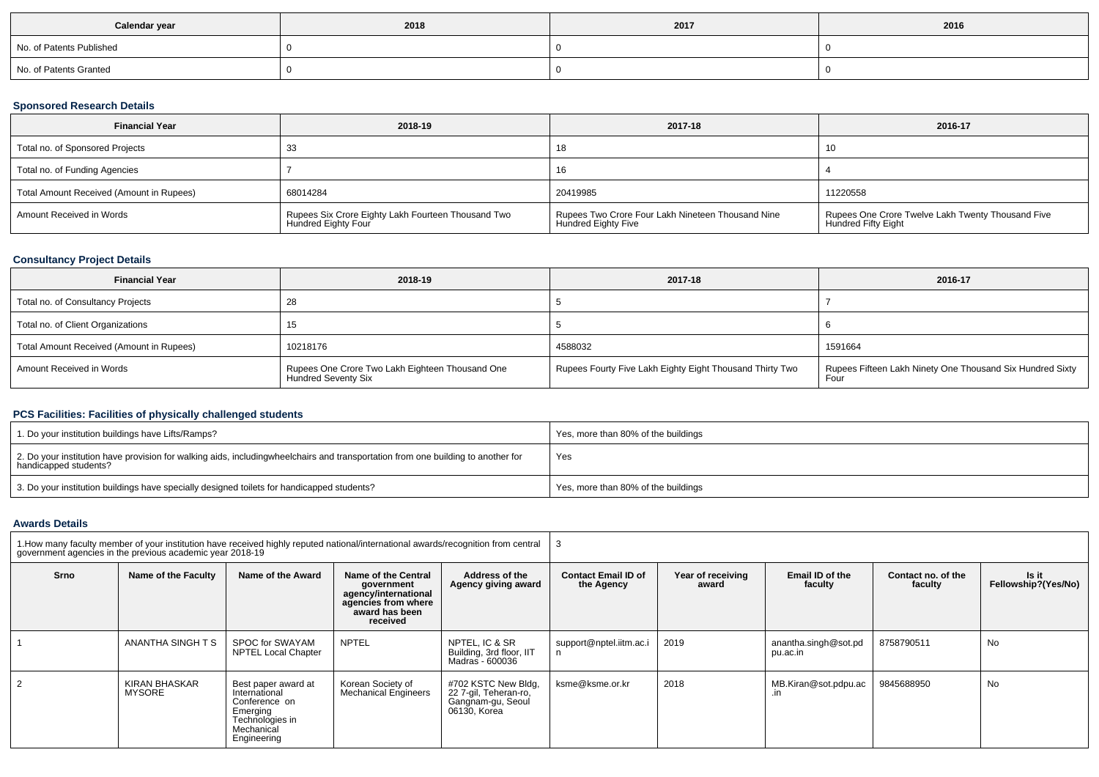| Calendar year            | 2018 | 2017 | 2016 |
|--------------------------|------|------|------|
| No. of Patents Published |      |      |      |
| No. of Patents Granted   |      |      |      |

## **Sponsored Research Details**

| <b>Financial Year</b>                    | 2018-19                                                                   | 2017-18                                                                         | 2016-17                                                                         |
|------------------------------------------|---------------------------------------------------------------------------|---------------------------------------------------------------------------------|---------------------------------------------------------------------------------|
| Total no. of Sponsored Projects          | 33                                                                        | 10                                                                              | 10                                                                              |
| Total no. of Funding Agencies            |                                                                           | 16                                                                              |                                                                                 |
| Total Amount Received (Amount in Rupees) | 68014284                                                                  | 20419985                                                                        | 11220558                                                                        |
| Amount Received in Words                 | Rupees Six Crore Eighty Lakh Fourteen Thousand Two<br>Hundred Eighty Four | Rupees Two Crore Four Lakh Nineteen Thousand Nine<br><b>Hundred Eighty Five</b> | Rupees One Crore Twelve Lakh Twenty Thousand Five<br><b>Hundred Fifty Eight</b> |

## **Consultancy Project Details**

| <b>Financial Year</b>                    | 2018-19                                                                       | 2017-18                                                  | 2016-17                                                   |
|------------------------------------------|-------------------------------------------------------------------------------|----------------------------------------------------------|-----------------------------------------------------------|
| Total no. of Consultancy Projects        |                                                                               |                                                          |                                                           |
| Total no. of Client Organizations        |                                                                               |                                                          |                                                           |
| Total Amount Received (Amount in Rupees) | 10218176                                                                      | 4588032                                                  | 1591664                                                   |
| Amount Received in Words                 | Rupees One Crore Two Lakh Eighteen Thousand One<br><b>Hundred Seventy Six</b> | Rupees Fourty Five Lakh Eighty Eight Thousand Thirty Two | Rupees Fifteen Lakh Ninety One Thousand Six Hundred Sixty |

## **PCS Facilities: Facilities of physically challenged students**

| 1. Do your institution buildings have Lifts/Ramps?                                                                                                        | Yes, more than 80% of the buildings |
|-----------------------------------------------------------------------------------------------------------------------------------------------------------|-------------------------------------|
| 2. Do your institution have provision for walking aids, includingwheelchairs and transportation from one building to another for<br>handicapped students? | Yes                                 |
| 3. Do your institution buildings have specially designed toilets for handicapped students?                                                                | Yes, more than 80% of the buildings |

### **Awards Details**

|      | government agencies in the previous academic year 2018-19 |                                                                                                                   | 1. How many faculty member of your institution have received highly reputed national/international awards/recognition from central |                                                                                   |                                          |                            |                                  |                               |                              |  |  |
|------|-----------------------------------------------------------|-------------------------------------------------------------------------------------------------------------------|------------------------------------------------------------------------------------------------------------------------------------|-----------------------------------------------------------------------------------|------------------------------------------|----------------------------|----------------------------------|-------------------------------|------------------------------|--|--|
| Srno | Name of the Faculty                                       | Name of the Award                                                                                                 | Name of the Central<br>government<br>agency/international<br>agencies from where<br>award has been<br>received                     | Address of the<br>Agency giving award                                             | <b>Contact Email ID of</b><br>the Agency | Year of receiving<br>award | Email ID of the<br>faculty       | Contact no. of the<br>faculty | Is it<br>Fellowship?(Yes/No) |  |  |
|      | ANANTHA SINGH T S                                         | SPOC for SWAYAM<br><b>NPTEL Local Chapter</b>                                                                     | <b>NPTEL</b>                                                                                                                       | NPTEL, IC & SR<br>Building, 3rd floor, IIT<br>Madras - 600036                     | support@nptel.iitm.ac.i                  | 2019                       | anantha.singh@sot.pd<br>pu.ac.in | 8758790511                    | No                           |  |  |
|      | KIRAN BHASKAR<br><b>MYSORE</b>                            | Best paper award at<br>International<br>Conference on<br>Emerging<br>Technologies in<br>Mechanical<br>Engineering | Korean Society of<br><b>Mechanical Engineers</b>                                                                                   | #702 KSTC New Bldg,<br>22 7-gil, Teheran-ro,<br>Gangnam-gu, Seoul<br>06130, Korea | ksme@ksme.or.kr                          | 2018                       | MB.Kiran@sot.pdpu.ac<br>.in      | 9845688950                    | No                           |  |  |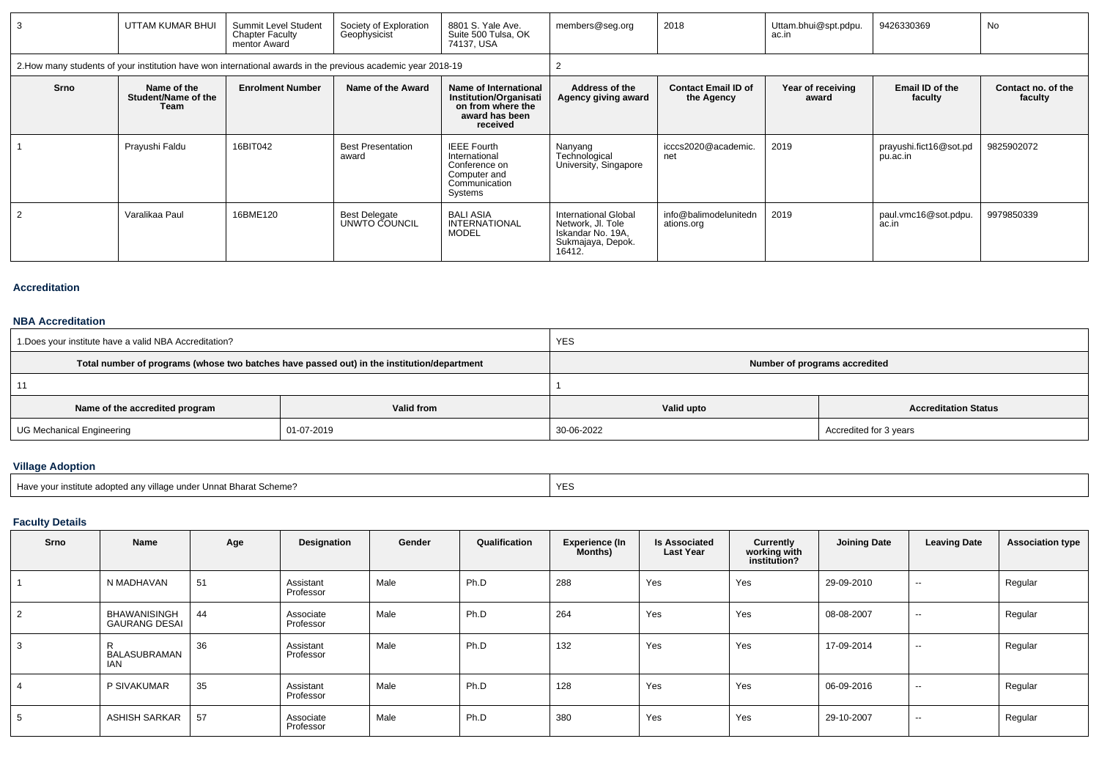| 3    | UTTAM KUMAR BHUI                                                                                             | Summit Level Student<br><b>Chapter Faculty</b><br>mentor Award | Society of Exploration<br>Geophysicist | 8801 S. Yale Ave.<br>Suite 500 Tulsa, OK<br>74137, USA                                                    | members@seg.org                                                                                      | 2018                                     | Uttam.bhui@spt.pdpu.<br>ac.in | 9426330369                         | No                            |
|------|--------------------------------------------------------------------------------------------------------------|----------------------------------------------------------------|----------------------------------------|-----------------------------------------------------------------------------------------------------------|------------------------------------------------------------------------------------------------------|------------------------------------------|-------------------------------|------------------------------------|-------------------------------|
|      | 2. How many students of your institution have won international awards in the previous academic year 2018-19 |                                                                |                                        |                                                                                                           |                                                                                                      |                                          |                               |                                    |                               |
| Srno | Name of the<br>Student/Name of the<br>Team                                                                   | <b>Enrolment Number</b>                                        | Name of the Award                      | Name of International<br><b>Institution/Organisati</b><br>on from where the<br>award has been<br>received | Address of the<br>Agency giving award                                                                | <b>Contact Email ID of</b><br>the Agency | Year of receiving<br>award    | Email ID of the<br>faculty         | Contact no. of the<br>faculty |
|      | Prayushi Faldu                                                                                               | 16BIT042                                                       | <b>Best Presentation</b><br>award      | <b>IEEE Fourth</b><br>International<br>Conference on<br>Computer and<br>Communication<br>Systems          | Nanyang<br>Technological<br>University, Singapore                                                    | icccs2020@academic.<br>net               | 2019                          | prayushi.fict16@sot.pd<br>pu.ac.in | 9825902072                    |
|      | Varalikaa Paul                                                                                               | 16BME120                                                       | <b>Best Delegate</b><br>UNWTO COUNCIL  | <b>BALI ASIA</b><br><b>INTERNATIONAL</b><br><b>MODEL</b>                                                  | <b>International Global</b><br>Network, Jl. Tole<br>Iskandar No. 19A,<br>Sukmajaya, Depok.<br>16412. | info@balimodelunitedn<br>ations.org      | 2019                          | paul.vmc16@sot.pdpu.<br>ac.in      | 9979850339                    |

#### **Accreditation**

# **NBA Accreditation**

| 1. Does your institute have a valid NBA Accreditation? |                                                                                            | <b>YES</b>                    |                             |  |  |  |  |
|--------------------------------------------------------|--------------------------------------------------------------------------------------------|-------------------------------|-----------------------------|--|--|--|--|
|                                                        | Total number of programs (whose two batches have passed out) in the institution/department | Number of programs accredited |                             |  |  |  |  |
|                                                        |                                                                                            |                               |                             |  |  |  |  |
| Name of the accredited program                         | Valid from                                                                                 | Valid upto                    | <b>Accreditation Status</b> |  |  |  |  |
| UG Mechanical Engineering                              | 01-07-2019                                                                                 | 30-06-2022                    | Accredited for 3 years      |  |  |  |  |

## **Village Adoption**

| Have vour institute adopted any village under Unnat Bharat Scheme? |  |
|--------------------------------------------------------------------|--|
|                                                                    |  |

## **Faculty Details**

| Srno | Name                                        | Age | Designation            | Gender | Qualification | Experience (In<br><b>Months</b> ) | <b>Is Associated</b><br><b>Last Year</b> | Currently<br>working with<br>institution? | <b>Joining Date</b> | <b>Leaving Date</b> | <b>Association type</b> |
|------|---------------------------------------------|-----|------------------------|--------|---------------|-----------------------------------|------------------------------------------|-------------------------------------------|---------------------|---------------------|-------------------------|
|      | N MADHAVAN                                  | 51  | Assistant<br>Professor | Male   | Ph.D          | 288                               | Yes                                      | Yes                                       | 29-09-2010          | $\sim$              | Regular                 |
|      | <b>BHAWANISINGH</b><br><b>GAURANG DESAI</b> | 44  | Associate<br>Professor | Male   | Ph.D          | 264                               | Yes                                      | Yes                                       | 08-08-2007          | $\sim$              | Regular                 |
|      | BALASUBRAMAN<br><b>IAN</b>                  | 36  | Assistant<br>Professor | Male   | Ph.D          | 132                               | Yes                                      | Yes                                       | 17-09-2014          | $\sim$              | Regular                 |
|      | P SIVAKUMAR                                 | 35  | Assistant<br>Professor | Male   | Ph.D          | 128                               | Yes                                      | Yes                                       | 06-09-2016          | $\sim$              | Regular                 |
|      | <b>ASHISH SARKAR</b>                        | 57  | Associate<br>Professor | Male   | Ph.D          | 380                               | Yes                                      | Yes                                       | 29-10-2007          | $\sim$              | Regular                 |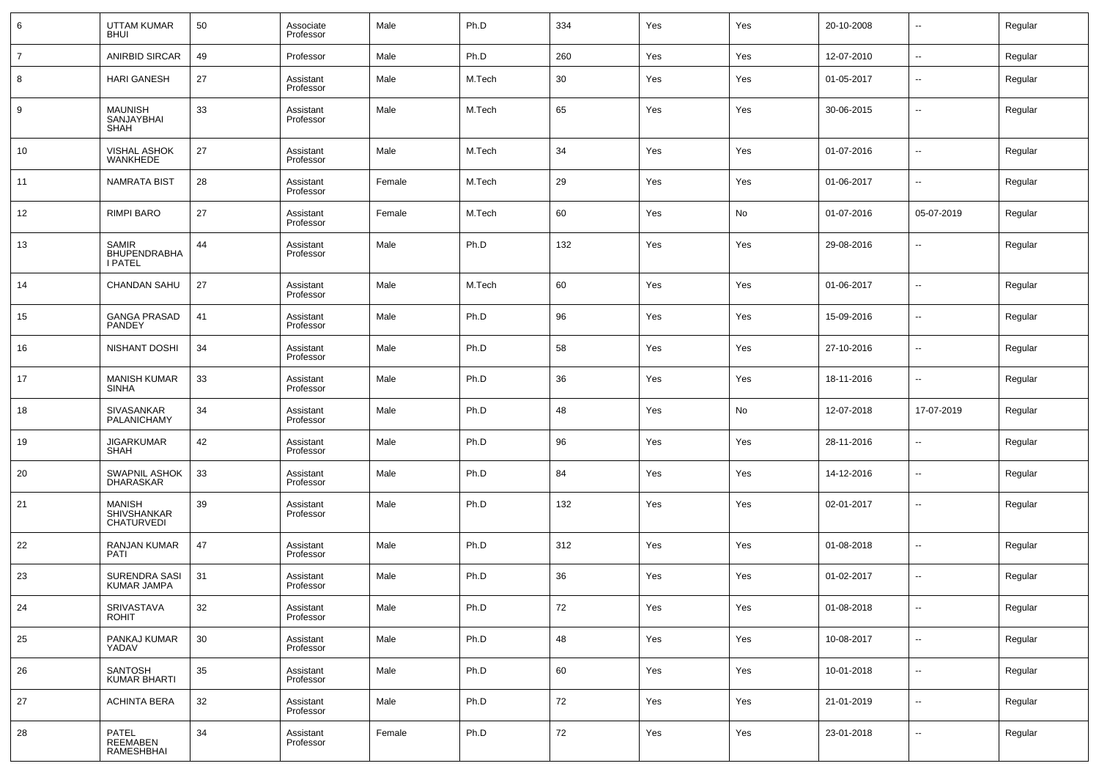| 6              | UTTAM KUMAR<br><b>BHUI</b>                            | 50 | Associate<br>Professor | Male   | Ph.D   | 334 | Yes | Yes | 20-10-2008 | $\overline{\phantom{a}}$ | Regular |
|----------------|-------------------------------------------------------|----|------------------------|--------|--------|-----|-----|-----|------------|--------------------------|---------|
| $\overline{7}$ | ANIRBID SIRCAR                                        | 49 | Professor              | Male   | Ph.D   | 260 | Yes | Yes | 12-07-2010 | $\overline{\phantom{a}}$ | Regular |
| 8              | <b>HARI GANESH</b>                                    | 27 | Assistant<br>Professor | Male   | M.Tech | 30  | Yes | Yes | 01-05-2017 | $\overline{\phantom{a}}$ | Regular |
| 9              | MAUNISH<br>SANJAYBHAI<br><b>SHAH</b>                  | 33 | Assistant<br>Professor | Male   | M.Tech | 65  | Yes | Yes | 30-06-2015 | $\overline{\phantom{a}}$ | Regular |
| 10             | VISHAL ASHOK<br>WANKHEDE                              | 27 | Assistant<br>Professor | Male   | M.Tech | 34  | Yes | Yes | 01-07-2016 | $\overline{\phantom{a}}$ | Regular |
| 11             | <b>NAMRATA BIST</b>                                   | 28 | Assistant<br>Professor | Female | M.Tech | 29  | Yes | Yes | 01-06-2017 | $\overline{\phantom{a}}$ | Regular |
| 12             | <b>RIMPI BARO</b>                                     | 27 | Assistant<br>Professor | Female | M.Tech | 60  | Yes | No  | 01-07-2016 | 05-07-2019               | Regular |
| 13             | <b>SAMIR</b><br><b>BHUPENDRABHA</b><br><b>I PATEL</b> | 44 | Assistant<br>Professor | Male   | Ph.D   | 132 | Yes | Yes | 29-08-2016 | $\sim$                   | Regular |
| 14             | <b>CHANDAN SAHU</b>                                   | 27 | Assistant<br>Professor | Male   | M.Tech | 60  | Yes | Yes | 01-06-2017 | $\overline{\phantom{a}}$ | Regular |
| 15             | GANGA PRASAD<br>PANDEY                                | 41 | Assistant<br>Professor | Male   | Ph.D   | 96  | Yes | Yes | 15-09-2016 | $\overline{\phantom{a}}$ | Regular |
| 16             | NISHANT DOSHI                                         | 34 | Assistant<br>Professor | Male   | Ph.D   | 58  | Yes | Yes | 27-10-2016 | $\overline{\phantom{a}}$ | Regular |
| 17             | <b>MANISH KUMAR</b><br><b>SINHA</b>                   | 33 | Assistant<br>Professor | Male   | Ph.D   | 36  | Yes | Yes | 18-11-2016 | $\overline{\phantom{a}}$ | Regular |
| 18             | SIVASANKAR<br>PALANICHAMY                             | 34 | Assistant<br>Professor | Male   | Ph.D   | 48  | Yes | No  | 12-07-2018 | 17-07-2019               | Regular |
| 19             | <b>JIGARKUMAR</b><br><b>SHAH</b>                      | 42 | Assistant<br>Professor | Male   | Ph.D   | 96  | Yes | Yes | 28-11-2016 | $\overline{\phantom{a}}$ | Regular |
| 20             | SWAPNIL ASHOK<br>DHARASKAR                            | 33 | Assistant<br>Professor | Male   | Ph.D   | 84  | Yes | Yes | 14-12-2016 | $\overline{\phantom{a}}$ | Regular |
| 21             | <b>MANISH</b><br>SHIVSHANKAR<br><b>CHATURVEDI</b>     | 39 | Assistant<br>Professor | Male   | Ph.D   | 132 | Yes | Yes | 02-01-2017 | --                       | Regular |
| 22             | RANJAN KUMAR<br><b>PATI</b>                           | 47 | Assistant<br>Professor | Male   | Ph.D   | 312 | Yes | Yes | 01-08-2018 | $\overline{\phantom{a}}$ | Regular |
| 23             | SURENDRA SASI<br>KUMAR JAMPA                          | 31 | Assistant<br>Professor | Male   | Ph.D   | 36  | Yes | Yes | 01-02-2017 | $\overline{\phantom{a}}$ | Regular |
| 24             | SRIVASTAVA<br><b>ROHIT</b>                            | 32 | Assistant<br>Professor | Male   | Ph.D   | 72  | Yes | Yes | 01-08-2018 | $\overline{\phantom{a}}$ | Regular |
| 25             | PANKAJ KUMAR<br>YADAV                                 | 30 | Assistant<br>Professor | Male   | Ph.D   | 48  | Yes | Yes | 10-08-2017 | $\overline{\phantom{a}}$ | Regular |
| 26             | <b>SANTOSH</b><br><b>KUMAR BHARTI</b>                 | 35 | Assistant<br>Professor | Male   | Ph.D   | 60  | Yes | Yes | 10-01-2018 | ۰.                       | Regular |
| 27             | <b>ACHINTA BERA</b>                                   | 32 | Assistant<br>Professor | Male   | Ph.D   | 72  | Yes | Yes | 21-01-2019 | $\overline{\phantom{a}}$ | Regular |
| 28             | PATEL<br>REEMABEN<br>RAMESHBHAI                       | 34 | Assistant<br>Professor | Female | Ph.D   | 72  | Yes | Yes | 23-01-2018 | ۰.                       | Regular |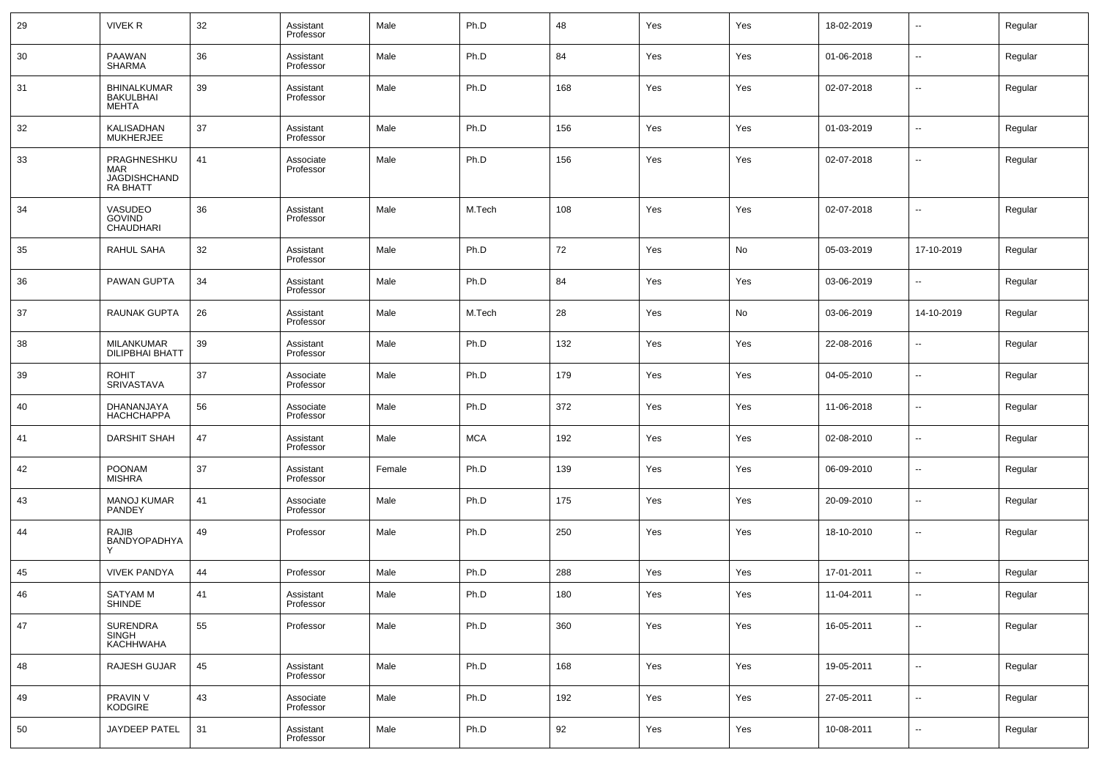| 29 | <b>VIVEK R</b>                                               | 32 | Assistant<br>Professor | Male   | Ph.D       | 48  | Yes | Yes | 18-02-2019 | $\sim$                   | Regular |
|----|--------------------------------------------------------------|----|------------------------|--------|------------|-----|-----|-----|------------|--------------------------|---------|
| 30 | PAAWAN<br><b>SHARMA</b>                                      | 36 | Assistant<br>Professor | Male   | Ph.D       | 84  | Yes | Yes | 01-06-2018 | $\sim$                   | Regular |
| 31 | <b>BHINALKUMAR</b><br>BAKULBHAI<br>MEHTA                     | 39 | Assistant<br>Professor | Male   | Ph.D       | 168 | Yes | Yes | 02-07-2018 | $\sim$                   | Regular |
| 32 | KALISADHAN<br><b>MUKHERJEE</b>                               | 37 | Assistant<br>Professor | Male   | Ph.D       | 156 | Yes | Yes | 01-03-2019 | ш.                       | Regular |
| 33 | PRAGHNESHKU<br><b>MAR</b><br>JAGDISHCHAND<br><b>RA BHATT</b> | 41 | Associate<br>Professor | Male   | Ph.D       | 156 | Yes | Yes | 02-07-2018 | $\overline{\phantom{a}}$ | Regular |
| 34 | VASUDEO<br><b>GOVIND</b><br>CHAUDHARI                        | 36 | Assistant<br>Professor | Male   | M.Tech     | 108 | Yes | Yes | 02-07-2018 | $\overline{\phantom{a}}$ | Regular |
| 35 | RAHUL SAHA                                                   | 32 | Assistant<br>Professor | Male   | Ph.D       | 72  | Yes | No  | 05-03-2019 | 17-10-2019               | Regular |
| 36 | PAWAN GUPTA                                                  | 34 | Assistant<br>Professor | Male   | Ph.D       | 84  | Yes | Yes | 03-06-2019 | --                       | Regular |
| 37 | RAUNAK GUPTA                                                 | 26 | Assistant<br>Professor | Male   | M.Tech     | 28  | Yes | No  | 03-06-2019 | 14-10-2019               | Regular |
| 38 | MILANKUMAR<br><b>DILIPBHAI BHATT</b>                         | 39 | Assistant<br>Professor | Male   | Ph.D       | 132 | Yes | Yes | 22-08-2016 | $\overline{\phantom{a}}$ | Regular |
| 39 | <b>ROHIT</b><br>SRIVASTAVA                                   | 37 | Associate<br>Professor | Male   | Ph.D       | 179 | Yes | Yes | 04-05-2010 | --                       | Regular |
| 40 | DHANANJAYA<br><b>НАСНСНАРРА</b>                              | 56 | Associate<br>Professor | Male   | Ph.D       | 372 | Yes | Yes | 11-06-2018 | $\sim$                   | Regular |
| 41 | DARSHIT SHAH                                                 | 47 | Assistant<br>Professor | Male   | <b>MCA</b> | 192 | Yes | Yes | 02-08-2010 | $\overline{\phantom{a}}$ | Regular |
| 42 | <b>POONAM</b><br><b>MISHRA</b>                               | 37 | Assistant<br>Professor | Female | Ph.D       | 139 | Yes | Yes | 06-09-2010 | $\sim$                   | Regular |
| 43 | <b>MANOJ KUMAR</b><br>PANDEY                                 | 41 | Associate<br>Professor | Male   | Ph.D       | 175 | Yes | Yes | 20-09-2010 | $\sim$                   | Regular |
| 44 | RAJIB<br>BANDYOPADHYA                                        | 49 | Professor              | Male   | Ph.D       | 250 | Yes | Yes | 18-10-2010 | $\sim$                   | Regular |
| 45 | <b>VIVEK PANDYA</b>                                          | 44 | Professor              | Male   | Ph.D       | 288 | Yes | Yes | 17-01-2011 | $\sim$                   | Regular |
| 46 | <b>SATYAM M</b><br><b>SHINDE</b>                             | 41 | Assistant<br>Professor | Male   | Ph.D       | 180 | Yes | Yes | 11-04-2011 | $\overline{\phantom{a}}$ | Regular |
| 47 | SURENDRA<br>SINGH<br>KACHHWAHA                               | 55 | Professor              | Male   | Ph.D       | 360 | Yes | Yes | 16-05-2011 | $\overline{\phantom{a}}$ | Regular |
| 48 | RAJESH GUJAR                                                 | 45 | Assistant<br>Professor | Male   | Ph.D       | 168 | Yes | Yes | 19-05-2011 | $\overline{\phantom{a}}$ | Regular |
| 49 | PRAVIN V<br>KODGIRE                                          | 43 | Associate<br>Professor | Male   | Ph.D       | 192 | Yes | Yes | 27-05-2011 | $\overline{\phantom{a}}$ | Regular |
| 50 | JAYDEEP PATEL                                                | 31 | Assistant<br>Professor | Male   | Ph.D       | 92  | Yes | Yes | 10-08-2011 | $\sim$                   | Regular |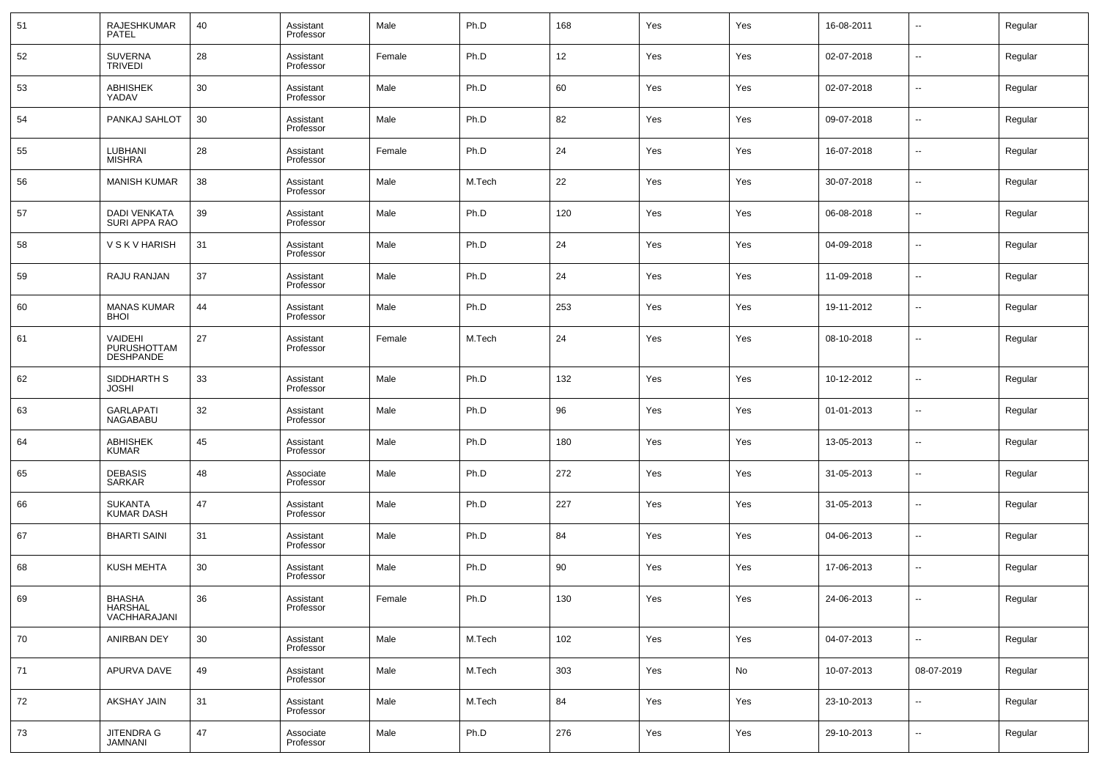| 51 | RAJESHKUMAR<br><b>PATEL</b>                | 40 | Assistant<br>Professor | Male   | Ph.D   | 168 | Yes | Yes | 16-08-2011 | $\overline{\phantom{a}}$ | Regular |
|----|--------------------------------------------|----|------------------------|--------|--------|-----|-----|-----|------------|--------------------------|---------|
| 52 | <b>SUVERNA</b><br>TRIVEDI                  | 28 | Assistant<br>Professor | Female | Ph.D   | 12  | Yes | Yes | 02-07-2018 | $\overline{\phantom{a}}$ | Regular |
| 53 | <b>ABHISHEK</b><br>YADAV                   | 30 | Assistant<br>Professor | Male   | Ph.D   | 60  | Yes | Yes | 02-07-2018 | $\overline{\phantom{a}}$ | Regular |
| 54 | PANKAJ SAHLOT                              | 30 | Assistant<br>Professor | Male   | Ph.D   | 82  | Yes | Yes | 09-07-2018 | $\overline{\phantom{a}}$ | Regular |
| 55 | LUBHANI<br>MISHRA                          | 28 | Assistant<br>Professor | Female | Ph.D   | 24  | Yes | Yes | 16-07-2018 | $\overline{\phantom{a}}$ | Regular |
| 56 | <b>MANISH KUMAR</b>                        | 38 | Assistant<br>Professor | Male   | M.Tech | 22  | Yes | Yes | 30-07-2018 | $\overline{\phantom{a}}$ | Regular |
| 57 | DADI VENKATA<br>SURI APPA RAO              | 39 | Assistant<br>Professor | Male   | Ph.D   | 120 | Yes | Yes | 06-08-2018 | $\overline{\phantom{a}}$ | Regular |
| 58 | <b>V S K V HARISH</b>                      | 31 | Assistant<br>Professor | Male   | Ph.D   | 24  | Yes | Yes | 04-09-2018 | $\overline{\phantom{a}}$ | Regular |
| 59 | RAJU RANJAN                                | 37 | Assistant<br>Professor | Male   | Ph.D   | 24  | Yes | Yes | 11-09-2018 | $\overline{\phantom{a}}$ | Regular |
| 60 | <b>MANAS KUMAR</b><br><b>BHOI</b>          | 44 | Assistant<br>Professor | Male   | Ph.D   | 253 | Yes | Yes | 19-11-2012 | ш.                       | Regular |
| 61 | VAIDEHI<br>PURUSHOTTAM<br><b>DESHPANDE</b> | 27 | Assistant<br>Professor | Female | M.Tech | 24  | Yes | Yes | 08-10-2018 | --                       | Regular |
| 62 | SIDDHARTH S<br>JOSHI                       | 33 | Assistant<br>Professor | Male   | Ph.D   | 132 | Yes | Yes | 10-12-2012 | $\overline{a}$           | Regular |
| 63 | <b>GARLAPATI</b><br><b>NAGABABU</b>        | 32 | Assistant<br>Professor | Male   | Ph.D   | 96  | Yes | Yes | 01-01-2013 | --                       | Regular |
| 64 | <b>ABHISHEK</b><br><b>KUMAR</b>            | 45 | Assistant<br>Professor | Male   | Ph.D   | 180 | Yes | Yes | 13-05-2013 | --                       | Regular |
| 65 | DEBASIS<br>SARKAR                          | 48 | Associate<br>Professor | Male   | Ph.D   | 272 | Yes | Yes | 31-05-2013 | --                       | Regular |
| 66 | <b>SUKANTA</b><br><b>KUMAR DASH</b>        | 47 | Assistant<br>Professor | Male   | Ph.D   | 227 | Yes | Yes | 31-05-2013 | --                       | Regular |
| 67 | <b>BHARTI SAINI</b>                        | 31 | Assistant<br>Professor | Male   | Ph.D   | 84  | Yes | Yes | 04-06-2013 | --                       | Regular |
| 68 | <b>KUSH MEHTA</b>                          | 30 | Assistant<br>Professor | Male   | Ph.D   | 90  | Yes | Yes | 17-06-2013 | --                       | Regular |
| 69 | BHASHA<br>HARSHAL<br>VACHHARAJANI          | 36 | Assistant<br>Professor | Female | Ph.D   | 130 | Yes | Yes | 24-06-2013 |                          | Regular |
| 70 | ANIRBAN DEY                                | 30 | Assistant<br>Professor | Male   | M.Tech | 102 | Yes | Yes | 04-07-2013 | ٠.                       | Regular |
| 71 | APURVA DAVE                                | 49 | Assistant<br>Professor | Male   | M.Tech | 303 | Yes | No  | 10-07-2013 | 08-07-2019               | Regular |
| 72 | <b>AKSHAY JAIN</b>                         | 31 | Assistant<br>Professor | Male   | M.Tech | 84  | Yes | Yes | 23-10-2013 | ٠.                       | Regular |
| 73 | JITENDRA G<br>JAMNANI                      | 47 | Associate<br>Professor | Male   | Ph.D   | 276 | Yes | Yes | 29-10-2013 | $\overline{\phantom{a}}$ | Regular |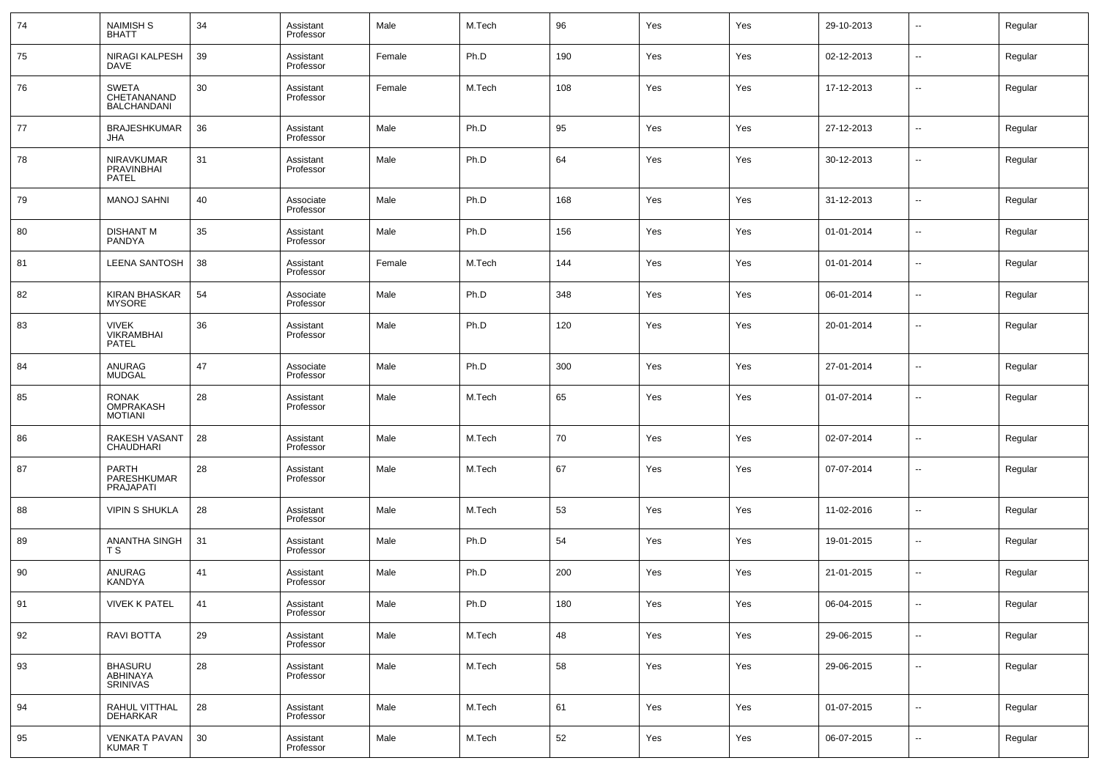| 74 | <b>NAIMISH S</b><br><b>BHATT</b>                  | 34 | Assistant<br>Professor | Male   | M.Tech | 96  | Yes | Yes | 29-10-2013 | $\sim$                   | Regular |
|----|---------------------------------------------------|----|------------------------|--------|--------|-----|-----|-----|------------|--------------------------|---------|
| 75 | NIRAGI KALPESH<br>DAVE                            | 39 | Assistant<br>Professor | Female | Ph.D   | 190 | Yes | Yes | 02-12-2013 | --                       | Regular |
| 76 | <b>SWETA</b><br>CHETANANAND<br><b>BALCHANDANI</b> | 30 | Assistant<br>Professor | Female | M.Tech | 108 | Yes | Yes | 17-12-2013 | $\sim$                   | Regular |
| 77 | <b>BRAJESHKUMAR</b><br>JHA                        | 36 | Assistant<br>Professor | Male   | Ph.D   | 95  | Yes | Yes | 27-12-2013 | --                       | Regular |
| 78 | NIRAVKUMAR<br>PRAVINBHAI<br><b>PATEL</b>          | 31 | Assistant<br>Professor | Male   | Ph.D   | 64  | Yes | Yes | 30-12-2013 | --                       | Regular |
| 79 | <b>MANOJ SAHNI</b>                                | 40 | Associate<br>Professor | Male   | Ph.D   | 168 | Yes | Yes | 31-12-2013 | --                       | Regular |
| 80 | <b>DISHANT M</b><br>PANDYA                        | 35 | Assistant<br>Professor | Male   | Ph.D   | 156 | Yes | Yes | 01-01-2014 | --                       | Regular |
| 81 | LEENA SANTOSH                                     | 38 | Assistant<br>Professor | Female | M.Tech | 144 | Yes | Yes | 01-01-2014 | --                       | Regular |
| 82 | KIRAN BHASKAR<br><b>MYSORE</b>                    | 54 | Associate<br>Professor | Male   | Ph.D   | 348 | Yes | Yes | 06-01-2014 | --                       | Regular |
| 83 | <b>VIVEK</b><br><b>VIKRAMBHAI</b><br>PATEL        | 36 | Assistant<br>Professor | Male   | Ph.D   | 120 | Yes | Yes | 20-01-2014 | $\overline{\phantom{a}}$ | Regular |
| 84 | ANURAG<br><b>MUDGAL</b>                           | 47 | Associate<br>Professor | Male   | Ph.D   | 300 | Yes | Yes | 27-01-2014 | --                       | Regular |
| 85 | <b>RONAK</b><br>OMPRAKASH<br><b>MOTIANI</b>       | 28 | Assistant<br>Professor | Male   | M.Tech | 65  | Yes | Yes | 01-07-2014 | $\sim$                   | Regular |
| 86 | RAKESH VASANT<br>CHAUDHARI                        | 28 | Assistant<br>Professor | Male   | M.Tech | 70  | Yes | Yes | 02-07-2014 | --                       | Regular |
| 87 | <b>PARTH</b><br>PARESHKUMAR<br>PRAJAPATI          | 28 | Assistant<br>Professor | Male   | M.Tech | 67  | Yes | Yes | 07-07-2014 | --                       | Regular |
| 88 | <b>VIPIN S SHUKLA</b>                             | 28 | Assistant<br>Professor | Male   | M.Tech | 53  | Yes | Yes | 11-02-2016 | ⊷.                       | Regular |
| 89 | ANANTHA SINGH<br>T S                              | 31 | Assistant<br>Professor | Male   | Ph.D   | 54  | Yes | Yes | 19-01-2015 | ⊷.                       | Regular |
| 90 | ANURAG<br><b>KANDYA</b>                           | 41 | Assistant<br>Professor | Male   | Ph.D   | 200 | Yes | Yes | 21-01-2015 | --                       | Regular |
| 91 | <b>VIVEK K PATEL</b>                              | 41 | Assistant<br>Professor | Male   | Ph.D   | 180 | Yes | Yes | 06-04-2015 | $\sim$                   | Regular |
| 92 | RAVI BOTTA                                        | 29 | Assistant<br>Professor | Male   | M.Tech | 48  | Yes | Yes | 29-06-2015 | $\sim$                   | Regular |
| 93 | <b>BHASURU</b><br>ABHINAYA<br><b>SRINIVAS</b>     | 28 | Assistant<br>Professor | Male   | M.Tech | 58  | Yes | Yes | 29-06-2015 | $\sim$                   | Regular |
| 94 | RAHUL VITTHAL<br><b>DEHARKAR</b>                  | 28 | Assistant<br>Professor | Male   | M.Tech | 61  | Yes | Yes | 01-07-2015 | ш,                       | Regular |
| 95 | <b>VENKATA PAVAN</b><br><b>KUMART</b>             | 30 | Assistant<br>Professor | Male   | M.Tech | 52  | Yes | Yes | 06-07-2015 | $\sim$                   | Regular |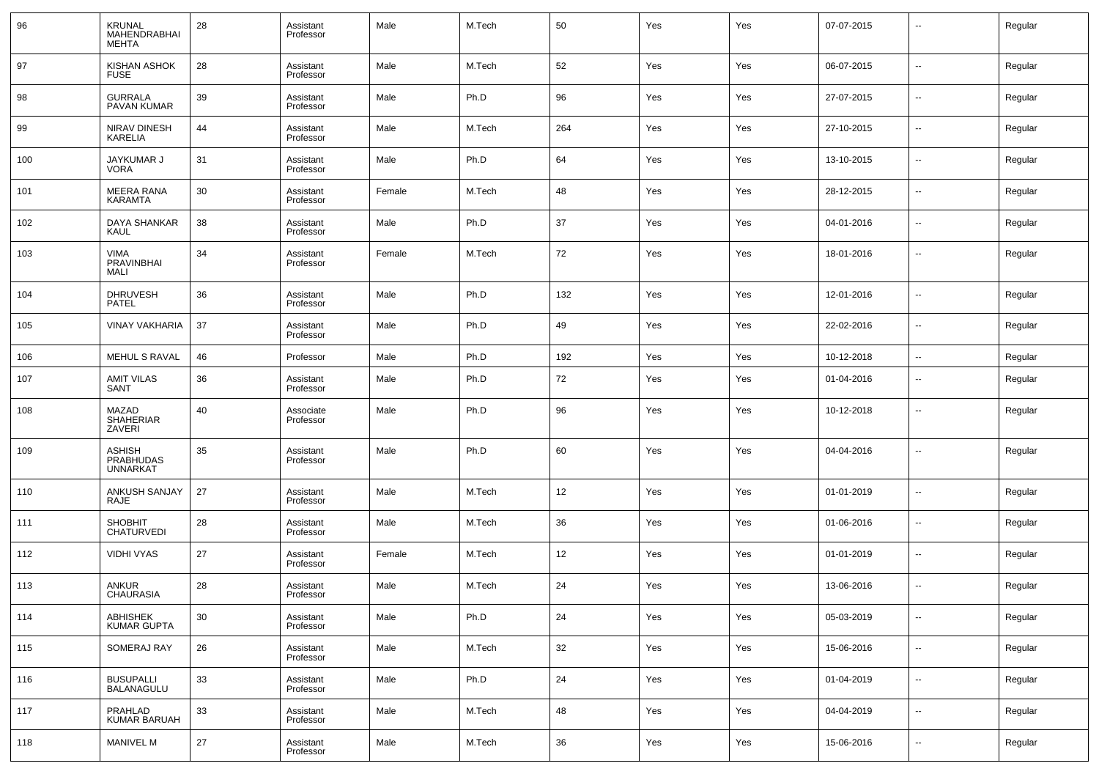| 96  | <b>KRUNAL</b><br>MAHENDRABHAI<br>MEHTA               | 28 | Assistant<br>Professor | Male   | M.Tech | 50  | Yes | Yes | 07-07-2015 | $\overline{\phantom{a}}$ | Regular |
|-----|------------------------------------------------------|----|------------------------|--------|--------|-----|-----|-----|------------|--------------------------|---------|
| 97  | KISHAN ASHOK<br><b>FUSE</b>                          | 28 | Assistant<br>Professor | Male   | M.Tech | 52  | Yes | Yes | 06-07-2015 | $\overline{\phantom{a}}$ | Regular |
| 98  | <b>GURRALA</b><br><b>PAVAN KUMAR</b>                 | 39 | Assistant<br>Professor | Male   | Ph.D   | 96  | Yes | Yes | 27-07-2015 | $\overline{a}$           | Regular |
| 99  | NIRAV DINESH<br><b>KARELIA</b>                       | 44 | Assistant<br>Professor | Male   | M.Tech | 264 | Yes | Yes | 27-10-2015 | --                       | Regular |
| 100 | JAYKUMAR J<br>VORA                                   | 31 | Assistant<br>Professor | Male   | Ph.D   | 64  | Yes | Yes | 13-10-2015 | $\overline{a}$           | Regular |
| 101 | <b>MEERA RANA</b><br><b>KARAMTA</b>                  | 30 | Assistant<br>Professor | Female | M.Tech | 48  | Yes | Yes | 28-12-2015 | --                       | Regular |
| 102 | DAYA SHANKAR<br>KAUL                                 | 38 | Assistant<br>Professor | Male   | Ph.D   | 37  | Yes | Yes | 04-01-2016 | $\overline{a}$           | Regular |
| 103 | <b>VIMA</b><br>PRAVINBHAI<br>MALI                    | 34 | Assistant<br>Professor | Female | M.Tech | 72  | Yes | Yes | 18-01-2016 | --                       | Regular |
| 104 | <b>DHRUVESH</b><br>PATEL                             | 36 | Assistant<br>Professor | Male   | Ph.D   | 132 | Yes | Yes | 12-01-2016 | --                       | Regular |
| 105 | <b>VINAY VAKHARIA</b>                                | 37 | Assistant<br>Professor | Male   | Ph.D   | 49  | Yes | Yes | 22-02-2016 | --                       | Regular |
| 106 | MEHUL S RAVAL                                        | 46 | Professor              | Male   | Ph.D   | 192 | Yes | Yes | 10-12-2018 | --                       | Regular |
| 107 | <b>AMIT VILAS</b><br>SANT                            | 36 | Assistant<br>Professor | Male   | Ph.D   | 72  | Yes | Yes | 01-04-2016 | $\overline{\phantom{a}}$ | Regular |
| 108 | MAZAD<br>SHAHERIAR<br>ZAVERI                         | 40 | Associate<br>Professor | Male   | Ph.D   | 96  | Yes | Yes | 10-12-2018 | --                       | Regular |
| 109 | <b>ASHISH</b><br><b>PRABHUDAS</b><br><b>UNNARKAT</b> | 35 | Assistant<br>Professor | Male   | Ph.D   | 60  | Yes | Yes | 04-04-2016 | --                       | Regular |
| 110 | ANKUSH SANJAY<br>RAJE                                | 27 | Assistant<br>Professor | Male   | M.Tech | 12  | Yes | Yes | 01-01-2019 | --                       | Regular |
| 111 | <b>SHOBHIT</b><br><b>CHATURVEDI</b>                  | 28 | Assistant<br>Professor | Male   | M.Tech | 36  | Yes | Yes | 01-06-2016 | --                       | Regular |
| 112 | <b>VIDHI VYAS</b>                                    | 27 | Assistant<br>Professor | Female | M.Tech | 12  | Yes | Yes | 01-01-2019 | --                       | Regular |
| 113 | <b>ANKUR</b><br><b>CHAURASIA</b>                     | 28 | Assistant<br>Professor | Male   | M.Tech | 24  | Yes | Yes | 13-06-2016 | $\overline{\phantom{a}}$ | Regular |
| 114 | ABHISHEK<br><b>KUMAR GUPTA</b>                       | 30 | Assistant<br>Professor | Male   | Ph.D   | 24  | Yes | Yes | 05-03-2019 | --                       | Regular |
| 115 | SOMERAJ RAY                                          | 26 | Assistant<br>Professor | Male   | M.Tech | 32  | Yes | Yes | 15-06-2016 | --                       | Regular |
| 116 | <b>BUSUPALLI</b><br>BALANAGULU                       | 33 | Assistant<br>Professor | Male   | Ph.D   | 24  | Yes | Yes | 01-04-2019 | --                       | Regular |
| 117 | PRAHLAD<br><b>KUMAR BARUAH</b>                       | 33 | Assistant<br>Professor | Male   | M.Tech | 48  | Yes | Yes | 04-04-2019 | --                       | Regular |
| 118 | <b>MANIVEL M</b>                                     | 27 | Assistant<br>Professor | Male   | M.Tech | 36  | Yes | Yes | 15-06-2016 | ⊷.                       | Regular |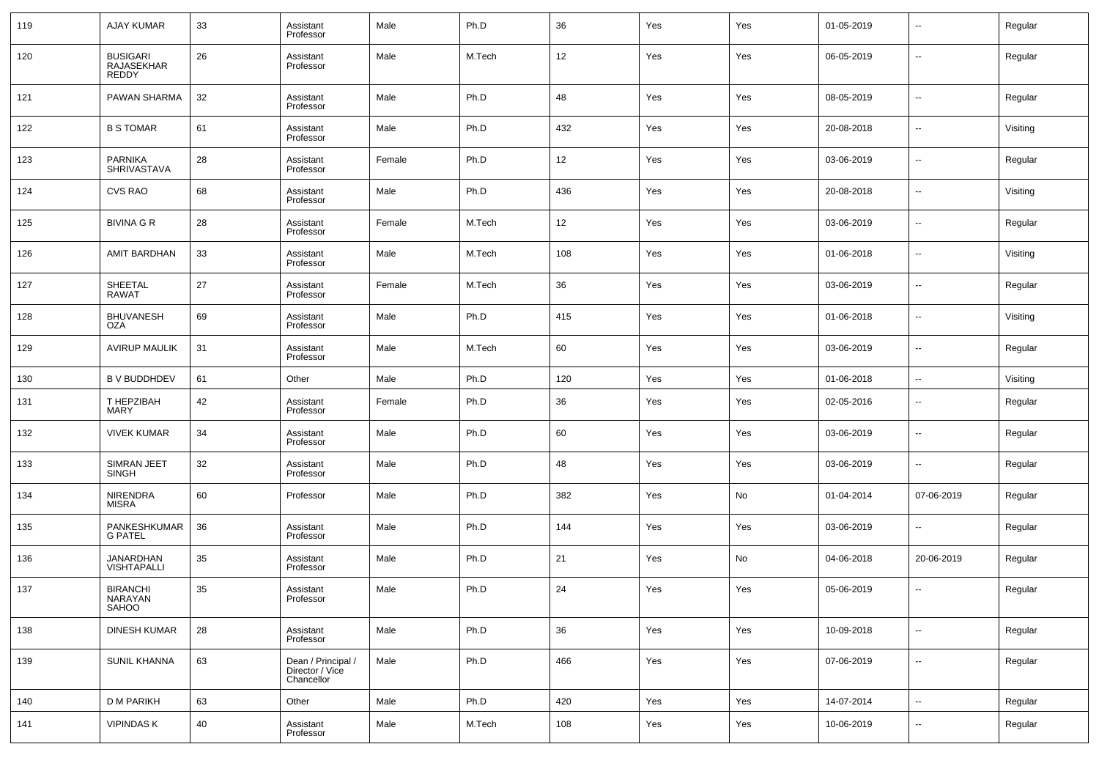| 119 | <b>AJAY KUMAR</b>                             | 33 | Assistant<br>Professor                              | Male   | Ph.D   | 36  | Yes | Yes | 01-05-2019 | $\sim$                   | Regular  |
|-----|-----------------------------------------------|----|-----------------------------------------------------|--------|--------|-----|-----|-----|------------|--------------------------|----------|
| 120 | <b>BUSIGARI</b><br><b>RAJASEKHAR</b><br>REDDY | 26 | Assistant<br>Professor                              | Male   | M.Tech | 12  | Yes | Yes | 06-05-2019 | $\sim$                   | Regular  |
| 121 | PAWAN SHARMA                                  | 32 | Assistant<br>Professor                              | Male   | Ph.D   | 48  | Yes | Yes | 08-05-2019 | ш,                       | Regular  |
| 122 | <b>B S TOMAR</b>                              | 61 | Assistant<br>Professor                              | Male   | Ph.D   | 432 | Yes | Yes | 20-08-2018 | ш,                       | Visiting |
| 123 | <b>PARNIKA</b><br><b>SHRIVASTAVA</b>          | 28 | Assistant<br>Professor                              | Female | Ph.D   | 12  | Yes | Yes | 03-06-2019 | $\overline{\phantom{a}}$ | Regular  |
| 124 | <b>CVS RAO</b>                                | 68 | Assistant<br>Professor                              | Male   | Ph.D   | 436 | Yes | Yes | 20-08-2018 | ш,                       | Visiting |
| 125 | <b>BIVINA G R</b>                             | 28 | Assistant<br>Professor                              | Female | M.Tech | 12  | Yes | Yes | 03-06-2019 | $\overline{\phantom{a}}$ | Regular  |
| 126 | AMIT BARDHAN                                  | 33 | Assistant<br>Professor                              | Male   | M.Tech | 108 | Yes | Yes | 01-06-2018 | --                       | Visiting |
| 127 | SHEETAL<br><b>RAWAT</b>                       | 27 | Assistant<br>Professor                              | Female | M.Tech | 36  | Yes | Yes | 03-06-2019 | $\overline{\phantom{a}}$ | Regular  |
| 128 | <b>BHUVANESH</b><br>OZA                       | 69 | Assistant<br>Professor                              | Male   | Ph.D   | 415 | Yes | Yes | 01-06-2018 | $\sim$                   | Visiting |
| 129 | <b>AVIRUP MAULIK</b>                          | 31 | Assistant<br>Professor                              | Male   | M.Tech | 60  | Yes | Yes | 03-06-2019 | ш,                       | Regular  |
| 130 | <b>B V BUDDHDEV</b>                           | 61 | Other                                               | Male   | Ph.D   | 120 | Yes | Yes | 01-06-2018 | $\overline{\phantom{a}}$ | Visiting |
| 131 | T HEPZIBAH<br><b>MARY</b>                     | 42 | Assistant<br>Professor                              | Female | Ph.D   | 36  | Yes | Yes | 02-05-2016 | --                       | Regular  |
| 132 | <b>VIVEK KUMAR</b>                            | 34 | Assistant<br>Professor                              | Male   | Ph.D   | 60  | Yes | Yes | 03-06-2019 | $\overline{\phantom{a}}$ | Regular  |
| 133 | <b>SIMRAN JEET</b><br><b>SINGH</b>            | 32 | Assistant<br>Professor                              | Male   | Ph.D   | 48  | Yes | Yes | 03-06-2019 | --                       | Regular  |
| 134 | <b>NIRENDRA</b><br><b>MISRA</b>               | 60 | Professor                                           | Male   | Ph.D   | 382 | Yes | No  | 01-04-2014 | 07-06-2019               | Regular  |
| 135 | PANKESHKUMAR<br><b>G PATEL</b>                | 36 | Assistant<br>Professor                              | Male   | Ph.D   | 144 | Yes | Yes | 03-06-2019 | --                       | Regular  |
| 136 | JANARDHAN<br>VISHTAPALLI                      | 35 | Assistant<br>Professor                              | Male   | Ph.D   | 21  | Yes | No  | 04-06-2018 | 20-06-2019               | Regular  |
| 137 | <b>BIRANCHI</b><br>NARAYAN<br>SAHOO           | 35 | Assistant<br>Professor                              | Male   | Ph.D   | 24  | Yes | Yes | 05-06-2019 | --                       | Regular  |
| 138 | <b>DINESH KUMAR</b>                           | 28 | Assistant<br>Professor                              | Male   | Ph.D   | 36  | Yes | Yes | 10-09-2018 | $\sim$                   | Regular  |
| 139 | SUNIL KHANNA                                  | 63 | Dean / Principal /<br>Director / Vice<br>Chancellor | Male   | Ph.D   | 466 | Yes | Yes | 07-06-2019 | $\sim$                   | Regular  |
| 140 | D M PARIKH                                    | 63 | Other                                               | Male   | Ph.D   | 420 | Yes | Yes | 14-07-2014 | ٠.                       | Regular  |
| 141 | <b>VIPINDASK</b>                              | 40 | Assistant<br>Professor                              | Male   | M.Tech | 108 | Yes | Yes | 10-06-2019 | $\overline{\phantom{a}}$ | Regular  |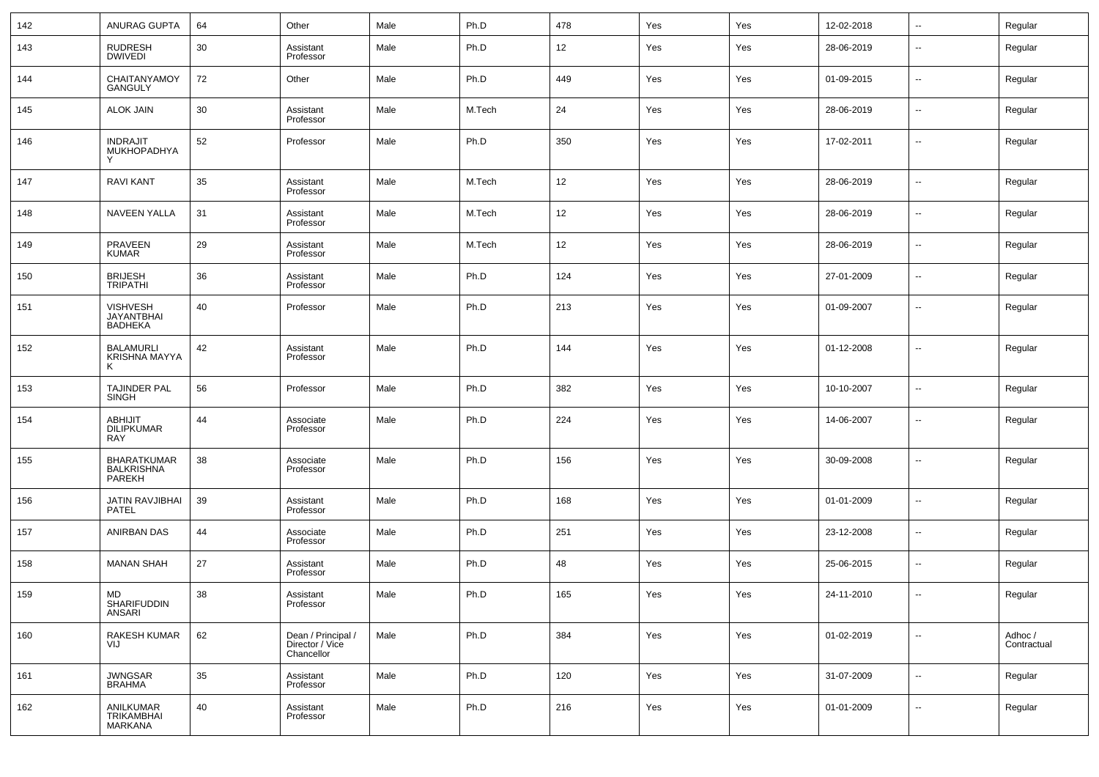| 142 | ANURAG GUPTA                                      | 64 | Other                                               | Male | Ph.D   | 478 | Yes | Yes | 12-02-2018 | $\overline{\phantom{a}}$ | Regular                |
|-----|---------------------------------------------------|----|-----------------------------------------------------|------|--------|-----|-----|-----|------------|--------------------------|------------------------|
| 143 | <b>RUDRESH</b><br><b>DWIVEDI</b>                  | 30 | Assistant<br>Professor                              | Male | Ph.D   | 12  | Yes | Yes | 28-06-2019 | $\overline{\phantom{a}}$ | Regular                |
| 144 | CHAITANYAMOY<br><b>GANGULY</b>                    | 72 | Other                                               | Male | Ph.D   | 449 | Yes | Yes | 01-09-2015 | $\overline{\phantom{a}}$ | Regular                |
| 145 | <b>ALOK JAIN</b>                                  | 30 | Assistant<br>Professor                              | Male | M.Tech | 24  | Yes | Yes | 28-06-2019 | $\overline{\phantom{a}}$ | Regular                |
| 146 | <b>INDRAJIT</b><br>MUKHOPADHYA                    | 52 | Professor                                           | Male | Ph.D   | 350 | Yes | Yes | 17-02-2011 | $\overline{\phantom{a}}$ | Regular                |
| 147 | <b>RAVI KANT</b>                                  | 35 | Assistant<br>Professor                              | Male | M.Tech | 12  | Yes | Yes | 28-06-2019 | --                       | Regular                |
| 148 | <b>NAVEEN YALLA</b>                               | 31 | Assistant<br>Professor                              | Male | M.Tech | 12  | Yes | Yes | 28-06-2019 | $\overline{\phantom{a}}$ | Regular                |
| 149 | PRAVEEN<br>KUMAR                                  | 29 | Assistant<br>Professor                              | Male | M.Tech | 12  | Yes | Yes | 28-06-2019 | $\overline{\phantom{a}}$ | Regular                |
| 150 | <b>BRIJESH</b><br><b>TRIPATHI</b>                 | 36 | Assistant<br>Professor                              | Male | Ph.D   | 124 | Yes | Yes | 27-01-2009 | --                       | Regular                |
| 151 | <b>VISHVESH</b><br><b>JAYANTBHAI</b><br>BADHEKA   | 40 | Professor                                           | Male | Ph.D   | 213 | Yes | Yes | 01-09-2007 | --                       | Regular                |
| 152 | <b>BALAMURLI</b><br>KRISHNA MAYYA<br>к            | 42 | Assistant<br>Professor                              | Male | Ph.D   | 144 | Yes | Yes | 01-12-2008 | --                       | Regular                |
| 153 | TAJINDER PAL<br>SINGH                             | 56 | Professor                                           | Male | Ph.D   | 382 | Yes | Yes | 10-10-2007 | $\overline{\phantom{a}}$ | Regular                |
| 154 | <b>ABHIJIT</b><br><b>DILIPKUMAR</b><br><b>RAY</b> | 44 | Associate<br>Professor                              | Male | Ph.D   | 224 | Yes | Yes | 14-06-2007 | ۰.                       | Regular                |
| 155 | BHARATKUMAR<br><b>BALKRISHNA</b><br>PAREKH        | 38 | Associate<br>Professor                              | Male | Ph.D   | 156 | Yes | Yes | 30-09-2008 | −−                       | Regular                |
| 156 | JATIN RAVJIBHAI<br>PATEL                          | 39 | Assistant<br>Professor                              | Male | Ph.D   | 168 | Yes | Yes | 01-01-2009 | --                       | Regular                |
| 157 | ANIRBAN DAS                                       | 44 | Associate<br>Professor                              | Male | Ph.D   | 251 | Yes | Yes | 23-12-2008 | --                       | Regular                |
| 158 | <b>MANAN SHAH</b>                                 | 27 | Assistant<br>Professor                              | Male | Ph.D   | 48  | Yes | Yes | 25-06-2015 | −−                       | Regular                |
| 159 | MD<br><b>SHARIFUDDIN</b><br>ANSARI                | 38 | Assistant<br>Professor                              | Male | Ph.D   | 165 | Yes | Yes | 24-11-2010 | -−                       | Regular                |
| 160 | RAKESH KUMAR<br>VIJ                               | 62 | Dean / Principal /<br>Director / Vice<br>Chancellor | Male | Ph.D   | 384 | Yes | Yes | 01-02-2019 | $\overline{\phantom{a}}$ | Adhoc /<br>Contractual |
| 161 | <b>JWNGSAR</b><br><b>BRAHMA</b>                   | 35 | Assistant<br>Professor                              | Male | Ph.D   | 120 | Yes | Yes | 31-07-2009 | $\sim$                   | Regular                |
| 162 | ANILKUMAR<br><b>TRIKAMBHAI</b><br>MARKANA         | 40 | Assistant<br>Professor                              | Male | Ph.D   | 216 | Yes | Yes | 01-01-2009 | $\overline{\phantom{a}}$ | Regular                |